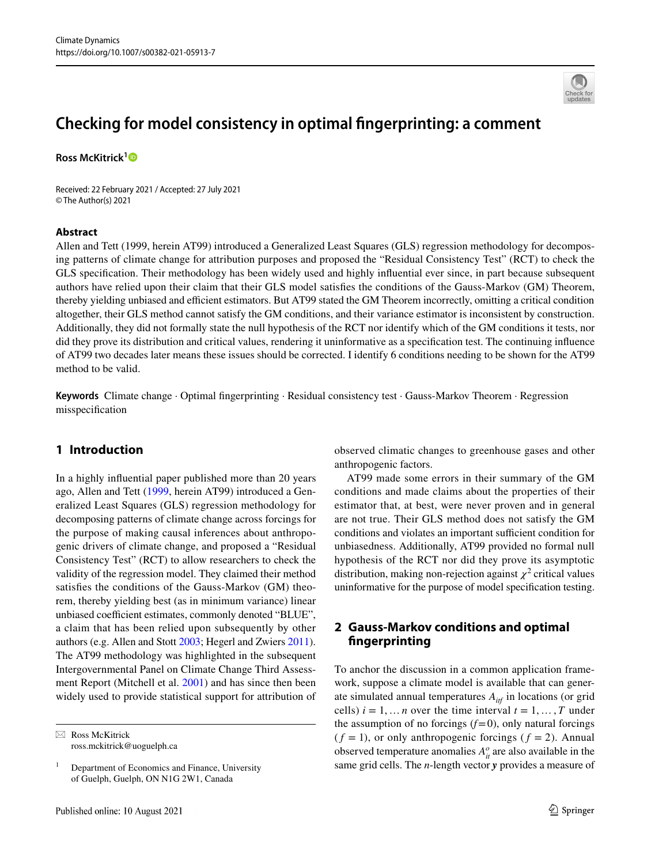

# **Checking for model consistency in optimal fngerprinting: a comment**

**Ross McKitrick[1](http://orcid.org/0000-0002-2257-0675)**

Received: 22 February 2021 / Accepted: 27 July 2021 © The Author(s) 2021

#### **Abstract**

Allen and Tett (1999, herein AT99) introduced a Generalized Least Squares (GLS) regression methodology for decomposing patterns of climate change for attribution purposes and proposed the "Residual Consistency Test" (RCT) to check the GLS specifcation. Their methodology has been widely used and highly infuential ever since, in part because subsequent authors have relied upon their claim that their GLS model satisfes the conditions of the Gauss-Markov (GM) Theorem, thereby yielding unbiased and efficient estimators. But AT99 stated the GM Theorem incorrectly, omitting a critical condition altogether, their GLS method cannot satisfy the GM conditions, and their variance estimator is inconsistent by construction. Additionally, they did not formally state the null hypothesis of the RCT nor identify which of the GM conditions it tests, nor did they prove its distribution and critical values, rendering it uninformative as a specifcation test. The continuing infuence of AT99 two decades later means these issues should be corrected. I identify 6 conditions needing to be shown for the AT99 method to be valid.

**Keywords** Climate change · Optimal fngerprinting · Residual consistency test · Gauss-Markov Theorem · Regression misspecifcation

### **1 Introduction**

In a highly infuential paper published more than 20 years ago, Allen and Tett [\(1999,](#page-5-0) herein AT99) introduced a Generalized Least Squares (GLS) regression methodology for decomposing patterns of climate change across forcings for the purpose of making causal inferences about anthropogenic drivers of climate change, and proposed a "Residual Consistency Test" (RCT) to allow researchers to check the validity of the regression model. They claimed their method satisfes the conditions of the Gauss-Markov (GM) theorem, thereby yielding best (as in minimum variance) linear unbiased coefficient estimates, commonly denoted "BLUE", a claim that has been relied upon subsequently by other authors (e.g. Allen and Stott [2003;](#page-5-1) Hegerl and Zwiers [2011](#page-5-2)). The AT99 methodology was highlighted in the subsequent Intergovernmental Panel on Climate Change Third Assessment Report (Mitchell et al. [2001\)](#page-5-3) and has since then been widely used to provide statistical support for attribution of

 $\boxtimes$  Ross McKitrick ross.mckitrick@uoguelph.ca observed climatic changes to greenhouse gases and other anthropogenic factors.

AT99 made some errors in their summary of the GM conditions and made claims about the properties of their estimator that, at best, were never proven and in general are not true. Their GLS method does not satisfy the GM conditions and violates an important sufficient condition for unbiasedness. Additionally, AT99 provided no formal null hypothesis of the RCT nor did they prove its asymptotic distribution, making non-rejection against  $\chi^2$  critical values uninformative for the purpose of model specifcation testing.

## **2 Gauss‑Markov conditions and optimal fngerprinting**

To anchor the discussion in a common application framework, suppose a climate model is available that can generate simulated annual temperatures *Aitf* in locations (or grid cells)  $i = 1, \dots n$  over the time interval  $t = 1, \dots, T$  under the assumption of no forcings  $(f=0)$ , only natural forcings  $(f = 1)$ , or only anthropogenic forcings  $(f = 2)$ . Annual observed temperature anomalies  $A_{it}^o$  are also available in the same grid cells. The *n*-length vector *y* provides a measure of

 $1$  Department of Economics and Finance, University of Guelph, Guelph, ON N1G 2W1, Canada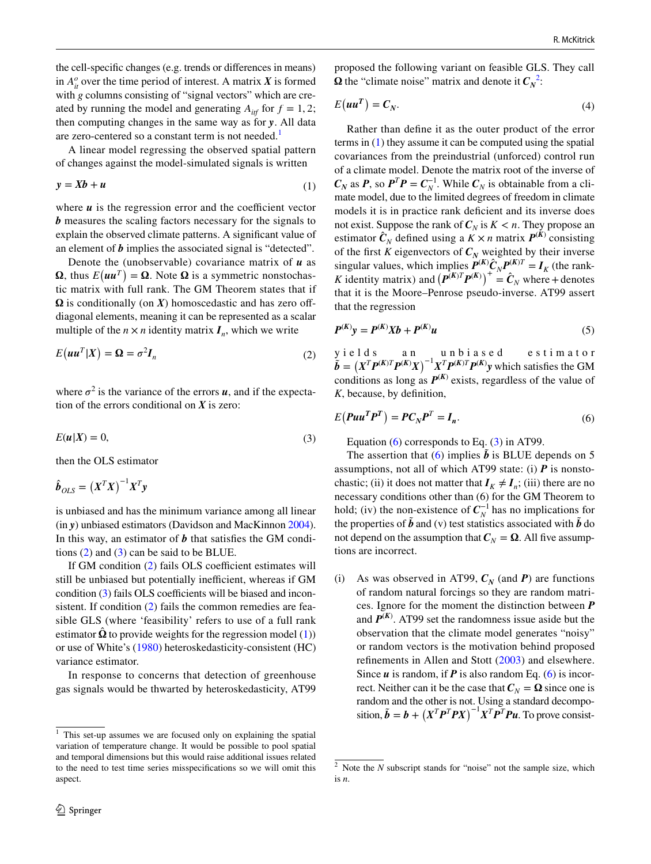the cell-specifc changes (e.g. trends or diferences in means) in  $A_{it}^o$  over the time period of interest. A matrix *X* is formed with *g* columns consisting of "signal vectors" which are created by running the model and generating  $A_{\text{inf}}$  for  $f = 1, 2$ ; then computing changes in the same way as for *y*. All data are zero-centered so a constant term is not needed.<sup>[1](#page-1-0)</sup>

A linear model regressing the observed spatial pattern of changes against the model-simulated signals is written

$$
y = Xb + u \tag{1}
$$

where  $u$  is the regression error and the coefficient vector *b* measures the scaling factors necessary for the signals to explain the observed climate patterns. A signifcant value of an element of *b* implies the associated signal is "detected".

Denote the (unobservable) covariance matrix of *u* as  $\Omega$ , thus  $E(uu^T) = \Omega$ . Note  $\Omega$  is a symmetric nonstochastic matrix with full rank. The GM Theorem states that if  $\Omega$  is conditionally (on  $X$ ) homoscedastic and has zero offdiagonal elements, meaning it can be represented as a scalar multiple of the  $n \times n$  identity matrix  $I_n$ , which we write

$$
E(uu^T|X) = \Omega = \sigma^2 I_n
$$
 (2)

where  $\sigma^2$  is the variance of the errors  $\boldsymbol{u}$ , and if the expectation of the errors conditional on *X* is zero:

$$
E(u|X) = 0,\t\t(3)
$$

then the OLS estimator

$$
\hat{\boldsymbol{b}}_{OLS} = \left(\boldsymbol{X}^T\boldsymbol{X}\right)^{-1}\boldsymbol{X}^T\boldsymbol{y}
$$

is unbiased and has the minimum variance among all linear (in *y*) unbiased estimators (Davidson and MacKinnon [2004](#page-5-4)). In this way, an estimator of *b* that satisfes the GM conditions ([2\)](#page-1-1) and ([3\)](#page-1-2) can be said to be BLUE.

If GM condition  $(2)$  $(2)$  fails OLS coefficient estimates will still be unbiased but potentially inefficient, whereas if GM condition  $(3)$  $(3)$  fails OLS coefficients will be biased and incon-sistent. If condition ([2\)](#page-1-1) fails the common remedies are feasible GLS (where 'feasibility' refers to use of a full rank estimator  $\hat{\Omega}$  to provide weights for the regression model [\(1](#page-1-3))) or use of White's ([1980\)](#page-6-0) heteroskedasticity-consistent (HC) variance estimator.

In response to concerns that detection of greenhouse gas signals would be thwarted by heteroskedasticity, AT99 proposed the following variant on feasible GLS. They call  $\Omega$  the "climate noise" matrix and denote it  $C_N^2$  $C_N^2$ :

$$
E(uu^T) = C_N.
$$
 (4)

<span id="page-1-3"></span>Rather than defne it as the outer product of the error terms in  $(1)$  $(1)$  they assume it can be computed using the spatial covariances from the preindustrial (unforced) control run of a climate model. Denote the matrix root of the inverse of  $C_N$  as *P*, so  $P^T P = C_N^{-1}$ . While  $C_N$  is obtainable from a climate model, due to the limited degrees of freedom in climate models it is in practice rank deficient and its inverse does not exist. Suppose the rank of  $C_N$  is  $K < n$ . They propose an estimator  $\hat{C}_N$  defined using a  $\hat{K} \times n$  matrix  $P^{(K)}$  consisting of the first *K* eigenvectors of  $C_N$  weighted by their inverse singular values, which implies  $P^{(K)}\hat{C}_N P^{(K)T} = I_K$  (the rank-*K* identity matrix) and  $(P^{(K)T}P^{(K)})^+ = \hat{C}_N$  where + denotes that it is the Moore–Penrose pseudo-inverse. AT99 assert that the regression

<span id="page-1-6"></span>
$$
P^{(K)}y = P^{(K)}Xb + P^{(K)}u
$$
 (5)

<span id="page-1-1"></span>yields an unbiased estimator  $\tilde{b} = (X^T P^{(K)T} P^{(K)} X)^{-1} X^T P^{(K)T} P^{(K)} y$  which satisfies the GM conditions as long as  $P^{(K)}$  exists, regardless of the value of *K*, because, by defnition,

<span id="page-1-2"></span>
$$
E(Puu^T P^T) = PC_N P^T = I_n.
$$
\n<sup>(6)</sup>

<span id="page-1-5"></span>Equation ([6\)](#page-1-5) corresponds to Eq. ([3\)](#page-1-2) in AT99.

The assertion that ([6](#page-1-5)) implies  $\vec{b}$  is BLUE depends on 5 assumptions, not all of which AT99 state: (i)  $\vec{P}$  is nonstochastic; (ii) it does not matter that  $I_K \neq I_n$ ; (iii) there are no necessary conditions other than (6) for the GM Theorem to hold; (iv) the non-existence of  $C_N^{-1}$  has no implications for the properties of  $\tilde{b}$  and (v) test statistics associated with  $\tilde{b}$  do not depend on the assumption that  $C_N = \Omega$ . All five assumptions are incorrect.

(i) As was observed in AT99,  $C_N$  (and *P*) are functions of random natural forcings so they are random matrices. Ignore for the moment the distinction between *P* and  $P^{(K)}$ . AT99 set the randomness issue aside but the observation that the climate model generates "noisy" or random vectors is the motivation behind proposed refnements in Allen and Stott ([2003](#page-5-1)) and elsewhere. Since *u* is random, if *P* is also random Eq. ([6\)](#page-1-5) is incorrect. Neither can it be the case that  $C_N = \Omega$  since one is random and the other is not. Using a standard decomposition,  $\tilde{b} = b + (X^T P^T P X)^{-1} X^T P^T P u$ . To prove consist-

<span id="page-1-0"></span> $1$  This set-up assumes we are focused only on explaining the spatial variation of temperature change. It would be possible to pool spatial and temporal dimensions but this would raise additional issues related to the need to test time series misspecifcations so we will omit this aspect.

<span id="page-1-4"></span><sup>&</sup>lt;sup>2</sup> Note the *N* subscript stands for "noise" not the sample size, which is *n*.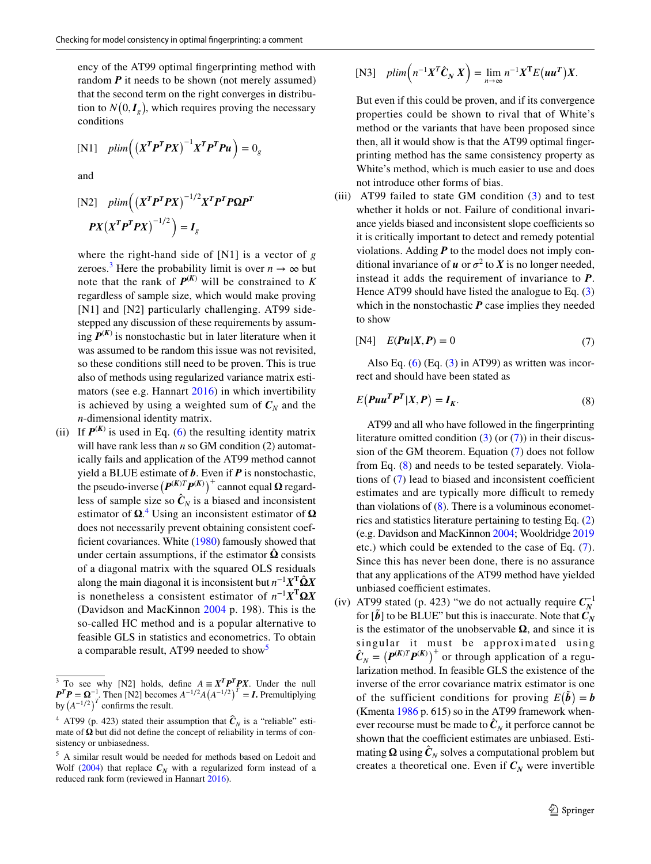ency of the AT99 optimal fngerprinting method with random  $P$  it needs to be shown (not merely assumed) that the second term on the right converges in distribution to  $N(0, I_g)$ , which requires proving the necessary conditions

$$
[N1] \quad plim\Big(\big(X^T P^T P X\big)^{-1} X^T P^T P u\Big) = 0_g
$$

and

$$
\begin{aligned} \text{[N2]} \quad plim\Big( \left( X^T \mathbf{P}^T \mathbf{P} X \right)^{-1/2} X^T \mathbf{P}^T \mathbf{P} \mathbf{\Omega} \mathbf{P}^T \\ \mathbf{P} X \left( X^T \mathbf{P}^T \mathbf{P} X \right)^{-1/2} \Big) &= I_g \end{aligned}
$$

where the right-hand side of [N1] is a vector of *g* zeroes.<sup>[3](#page-2-0)</sup> Here the probability limit is over  $n \to \infty$  but note that the rank of  $P^{(K)}$  will be constrained to K regardless of sample size, which would make proving [N1] and [N2] particularly challenging. AT99 sidestepped any discussion of these requirements by assuming  $P^{(K)}$  is nonstochastic but in later literature when it was assumed to be random this issue was not revisited, so these conditions still need to be proven. This is true also of methods using regularized variance matrix estimators (see e.g. Hannart [2016\)](#page-5-5) in which invertibility is achieved by using a weighted sum of  $C_N$  and the *n*-dimensional identity matrix.

(ii) If  $P^{(K)}$  is used in Eq. ([6](#page-1-5)) the resulting identity matrix will have rank less than *n* so GM condition (2) automatically fails and application of the AT99 method cannot yield a BLUE estimate of *b*. Even if *P* is nonstochastic, the pseudo-inverse  $(P^{(K)T}P^{(K)})^+$  cannot equal  $\Omega$  regardless of sample size so  $\hat{C}_N$  is a biased and inconsistent estimator of  $\Omega$ <sup>[4](#page-2-1)</sup>. Using an inconsistent estimator of  $\Omega$ does not necessarily prevent obtaining consistent coef-ficient covariances. White [\(1980](#page-6-0)) famously showed that under certain assumptions, if the estimator  $\Omega$  consists of a diagonal matrix with the squared OLS residuals along the main diagonal it is inconsistent but  $n^{-1}X^T\hat{\Omega}X$ is nonetheless a consistent estimator of  $n^{-1}X^T\Omega X$ (Davidson and MacKinnon [2004](#page-5-4) p. 198). This is the so-called HC method and is a popular alternative to feasible GLS in statistics and econometrics. To obtain a comparable result, AT99 needed to show<sup>[5](#page-2-2)</sup>

$$
[\text{N3}] \quad plim\Big(n^{-1}X^T\hat{C}_N X\Big) = \lim_{n \to \infty} n^{-1}X^T E(uu^T) X.
$$

But even if this could be proven, and if its convergence properties could be shown to rival that of White's method or the variants that have been proposed since then, all it would show is that the AT99 optimal fngerprinting method has the same consistency property as White's method, which is much easier to use and does not introduce other forms of bias.

(iii) AT99 failed to state GM condition  $(3)$  $(3)$  $(3)$  and to test whether it holds or not. Failure of conditional invariance yields biased and inconsistent slope coefficients so it is critically important to detect and remedy potential violations. Adding  $P$  to the model does not imply conditional invariance of  $u$  or  $\sigma^2$  to  $X$  is no longer needed, instead it adds the requirement of invariance to *P*. Hence AT99 should have listed the analogue to Eq. ([3\)](#page-1-2) which in the nonstochastic **P** case implies they needed to show

<span id="page-2-3"></span>
$$
[N4] \quad E(\mathbf{P}u|X,\mathbf{P}) = 0 \tag{7}
$$

Also Eq.  $(6)$  $(6)$  (Eq.  $(3)$  $(3)$  in AT99) as written was incorrect and should have been stated as

<span id="page-2-4"></span>
$$
E(Puu^T P^T | X, P) = I_K.
$$
\n(8)

 AT99 and all who have followed in the fngerprinting literature omitted condition  $(3)$  $(3)$  (or  $(7)$  $(7)$ ) in their discussion of the GM theorem. Equation ([7\)](#page-2-3) does not follow from Eq. ([8\)](#page-2-4) and needs to be tested separately. Violations of  $(7)$  $(7)$  lead to biased and inconsistent coefficient estimates and are typically more difficult to remedy than violations of  $(8)$  $(8)$ . There is a voluminous econometrics and statistics literature pertaining to testing Eq. ([2\)](#page-1-1) (e.g. Davidson and MacKinnon [2004;](#page-5-4) Wooldridge [2019](#page-6-1) etc.) which could be extended to the case of Eq. ([7](#page-2-3)). Since this has never been done, there is no assurance that any applications of the AT99 method have yielded unbiased coefficient estimates.

(iv) AT99 stated (p. 423) "we do not actually require  $C_N^{-1}$ for  $\tilde{b}$  to be BLUE" but this is inaccurate. Note that  $\tilde{C}_N$ is the estimator of the unobservable  $\Omega$ , and since it is singular it must be approximated using  $\hat{C}_N = (P^{(K)T}P^{(K)})^+$  or through application of a regularization method. In feasible GLS the existence of the inverse of the error covariance matrix estimator is one of the sufficient conditions for proving  $E(\tilde{b}) = b$ (Kmenta [1986](#page-5-6) p. 615) so in the AT99 framework whenever recourse must be made to  $\hat{\mathbf{C}}_N$  it perforce cannot be shown that the coefficient estimates are unbiased. Estimating  $\Omega$  using  $\hat{C}_N$  solves a computational problem but creates a theoretical one. Even if  $C_N$  were invertible

<span id="page-2-0"></span><sup>&</sup>lt;sup>3</sup> To see why [N2] holds, define  $A = X^T P^T P X$ . Under the null  $P^T P = \Omega^{-1}$ . Then [N2] becomes  $A^{-1/2}A(A^{-1/2})^T = I$ . Premultiplying by  $(A^{-1/2})^T$  confirms the result.

<span id="page-2-1"></span><sup>&</sup>lt;sup>4</sup> AT99 (p. 423) stated their assumption that  $\hat{\mathbf{C}}_N$  is a "reliable" estimate of  $\Omega$  but did not define the concept of reliability in terms of consistency or unbiasedness.

<span id="page-2-2"></span><sup>5</sup> A similar result would be needed for methods based on Ledoit and Wolf ([2004\)](#page-5-7) that replace  $C_N$  with a regularized form instead of a reduced rank form (reviewed in Hannart [2016\)](#page-5-5).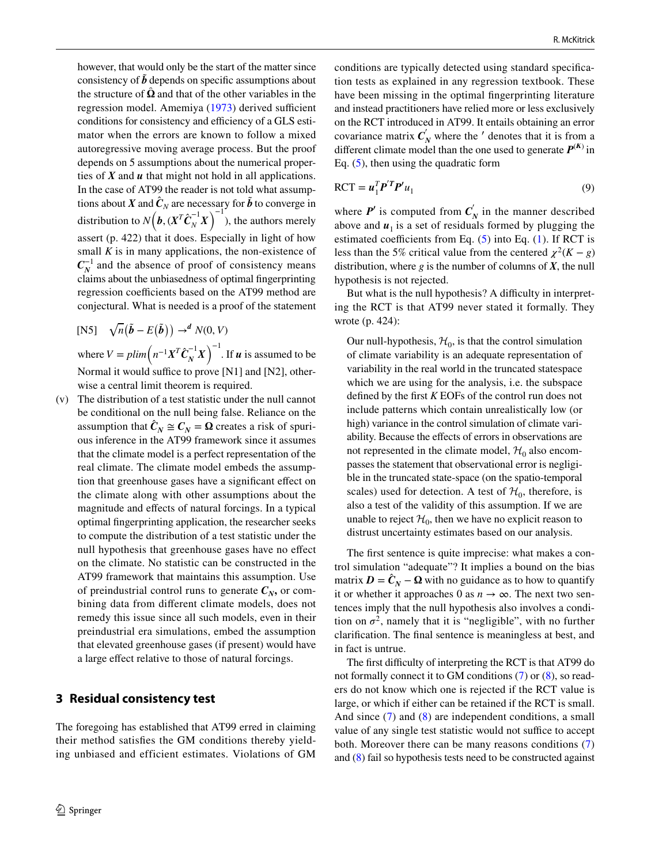however, that would only be the start of the matter since consistency of  $\tilde{b}$  depends on specific assumptions about the structure of  $\hat{\Omega}$  and that of the other variables in the regression model. Amemiya [\(1973\)](#page-5-8) derived sufficient conditions for consistency and efficiency of a GLS estimator when the errors are known to follow a mixed autoregressive moving average process. But the proof depends on 5 assumptions about the numerical properties of *X* and *u* that might not hold in all applications. In the case of AT99 the reader is not told what assumptions about *X* and  $\hat{C}_N$  are necessary for  $\hat{b}$  to converge in distribution to  $N(\boldsymbol{b}, (\boldsymbol{X}^T \boldsymbol{C}_N^{-1} \boldsymbol{X})^{-1})$ , the authors merely assert (p. 422) that it does. Especially in light of how small  $K$  is in many applications, the non-existence of  $C_N^{-1}$  and the absence of proof of consistency means claims about the unbiasedness of optimal fngerprinting regression coefficients based on the AT99 method are conjectural. What is needed is a proof of the statement

[N5] 
$$
\sqrt{n}(\tilde{b} - E(\tilde{b})) \rightarrow^d N(0, V)
$$
  
where  $V = \text{plim} (n^{-1}X^T \hat{C}_N^{-1} X)^{-1}$ . If **u** is assumed to be  
Normal it would suffice to prove [N1] and [N2], other-

wise a central limit theorem is required. (v) The distribution of a test statistic under the null cannot be conditional on the null being false. Reliance on the assumption that  $\hat{C}_N \cong C_N = \Omega$  creates a risk of spurious inference in the AT99 framework since it assumes that the climate model is a perfect representation of the real climate. The climate model embeds the assumption that greenhouse gases have a signifcant efect on the climate along with other assumptions about the magnitude and efects of natural forcings. In a typical optimal fngerprinting application, the researcher seeks to compute the distribution of a test statistic under the null hypothesis that greenhouse gases have no efect on the climate. No statistic can be constructed in the AT99 framework that maintains this assumption. Use of preindustrial control runs to generate  $C_N$ , or combining data from diferent climate models, does not remedy this issue since all such models, even in their preindustrial era simulations, embed the assumption that elevated greenhouse gases (if present) would have a large efect relative to those of natural forcings.

#### **3 Residual consistency test**

The foregoing has established that AT99 erred in claiming their method satisfes the GM conditions thereby yielding unbiased and efficient estimates. Violations of GM conditions are typically detected using standard specifcation tests as explained in any regression textbook. These have been missing in the optimal fngerprinting literature and instead practitioners have relied more or less exclusively on the RCT introduced in AT99. It entails obtaining an error covariance matrix  $C'_N$  where the  $'$  denotes that it is from a different climate model than the one used to generate  $P^{(K)}$  in Eq.  $(5)$  $(5)$ , then using the quadratic form

$$
RCT = \boldsymbol{u}_1^T \boldsymbol{P}'^T \boldsymbol{P}' u_1 \tag{9}
$$

where  $P'$  is computed from  $C'_N$  in the manner described above and  $u_1$  is a set of residuals formed by plugging the estimated coefficients from Eq.  $(5)$  $(5)$  into Eq.  $(1)$  $(1)$ . If RCT is less than the 5% critical value from the centered  $\chi^2(K - g)$ distribution, where *g* is the number of columns of *X*, the null hypothesis is not rejected.

But what is the null hypothesis? A difficulty in interpreting the RCT is that AT99 never stated it formally. They wrote (p. 424):

Our null-hypothesis,  $\mathcal{H}_0$ , is that the control simulation of climate variability is an adequate representation of variability in the real world in the truncated statespace which we are using for the analysis, i.e. the subspace defned by the frst *K* EOFs of the control run does not include patterns which contain unrealistically low (or high) variance in the control simulation of climate variability. Because the efects of errors in observations are not represented in the climate model,  $\mathcal{H}_0$  also encompasses the statement that observational error is negligible in the truncated state-space (on the spatio-temporal scales) used for detection. A test of  $\mathcal{H}_0$ , therefore, is also a test of the validity of this assumption. If we are unable to reject  $\mathcal{H}_0$ , then we have no explicit reason to distrust uncertainty estimates based on our analysis.

The first sentence is quite imprecise: what makes a control simulation "adequate"? It implies a bound on the bias matrix  $D = \hat{C}_N - \Omega$  with no guidance as to how to quantify it or whether it approaches 0 as  $n \to \infty$ . The next two sentences imply that the null hypothesis also involves a condition on  $\sigma^2$ , namely that it is "negligible", with no further clarifcation. The fnal sentence is meaningless at best, and in fact is untrue.

The first difficulty of interpreting the RCT is that AT99 do not formally connect it to GM conditions ([7\)](#page-2-3) or [\(8](#page-2-4)), so readers do not know which one is rejected if the RCT value is large, or which if either can be retained if the RCT is small. And since ([7](#page-2-3)) and ([8\)](#page-2-4) are independent conditions, a small value of any single test statistic would not suffice to accept both. Moreover there can be many reasons conditions ([7\)](#page-2-3) and ([8\)](#page-2-4) fail so hypothesis tests need to be constructed against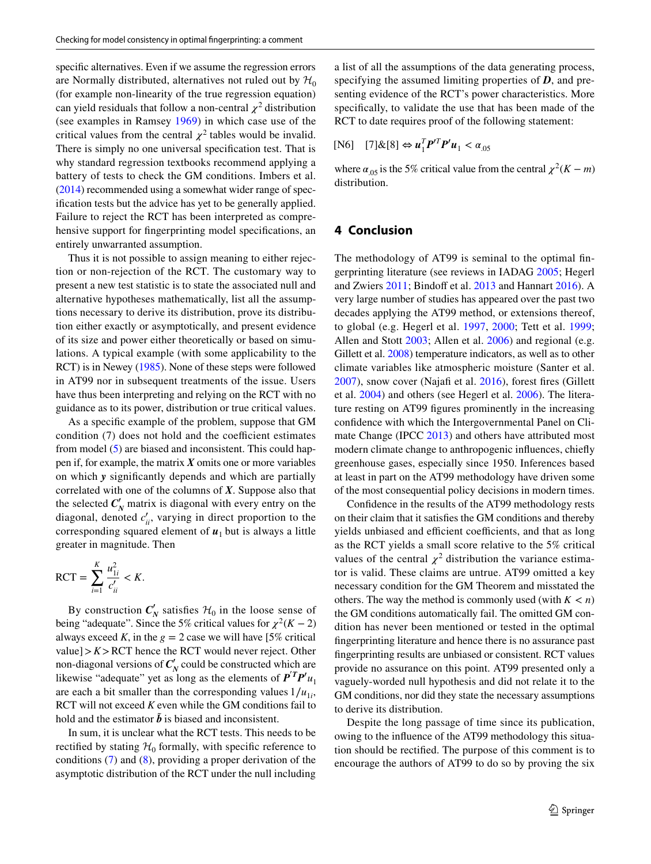specifc alternatives. Even if we assume the regression errors are Normally distributed, alternatives not ruled out by  $\mathcal{H}_0$ (for example non-linearity of the true regression equation) can yield residuals that follow a non-central  $\chi^2$  distribution (see examples in Ramsey [1969\)](#page-5-9) in which case use of the critical values from the central  $\chi^2$  tables would be invalid. There is simply no one universal specifcation test. That is why standard regression textbooks recommend applying a battery of tests to check the GM conditions. Imbers et al. [\(2014](#page-5-10)) recommended using a somewhat wider range of specifcation tests but the advice has yet to be generally applied. Failure to reject the RCT has been interpreted as comprehensive support for fngerprinting model specifcations, an entirely unwarranted assumption.

Thus it is not possible to assign meaning to either rejection or non-rejection of the RCT. The customary way to present a new test statistic is to state the associated null and alternative hypotheses mathematically, list all the assumptions necessary to derive its distribution, prove its distribution either exactly or asymptotically, and present evidence of its size and power either theoretically or based on simulations. A typical example (with some applicability to the RCT) is in Newey [\(1985\)](#page-5-11). None of these steps were followed in AT99 nor in subsequent treatments of the issue. Users have thus been interpreting and relying on the RCT with no guidance as to its power, distribution or true critical values.

As a specifc example of the problem, suppose that GM condition  $(7)$  does not hold and the coefficient estimates from model ([5\)](#page-1-6) are biased and inconsistent. This could happen if, for example, the matrix *X* omits one or more variables on which *y* signifcantly depends and which are partially correlated with one of the columns of *X*. Suppose also that the selected  $C'_N$  matrix is diagonal with every entry on the diagonal, denoted  $c'_{ii}$ , varying in direct proportion to the corresponding squared element of  $u_1$  but is always a little greater in magnitude. Then

$$
RCT = \sum_{i=1}^{K} \frac{u_{1i}^2}{c'_{ii}} < K.
$$

By construction  $C'_N$  satisfies  $\mathcal{H}_0$  in the loose sense of being "adequate". Since the 5% critical values for  $\chi^2(K-2)$ always exceed *K*, in the  $g = 2$  case we will have [5% critical value] $> K$  $>$ RCT hence the RCT would never reject. Other non-diagonal versions of  $C'_N$  could be constructed which are likewise "adequate" yet as long as the elements of  $P^T P' u_1$ are each a bit smaller than the corresponding values  $1/u_{1i}$ , RCT will not exceed *K* even while the GM conditions fail to hold and the estimator  $\tilde{b}$  is biased and inconsistent.

In sum, it is unclear what the RCT tests. This needs to be rectified by stating  $H_0$  formally, with specific reference to conditions [\(7](#page-2-3)) and ([8\)](#page-2-4), providing a proper derivation of the asymptotic distribution of the RCT under the null including

a list of all the assumptions of the data generating process, specifying the assumed limiting properties of *D*, and presenting evidence of the RCT's power characteristics. More specifcally, to validate the use that has been made of the RCT to date requires proof of the following statement:

$$
[\text{N6}] \quad [7] \& [8] \Leftrightarrow u_1^T P^{\prime T} P^{\prime} u_1 < \alpha_{.05}
$$

where  $\alpha_{.05}$  is the 5% critical value from the central  $\chi^2(K - m)$ distribution.

#### **4 Conclusion**

The methodology of AT99 is seminal to the optimal fngerprinting literature (see reviews in IADAG [2005](#page-5-12); Hegerl and Zwiers [2011](#page-5-2); Bindoff et al. [2013](#page-5-13) and Hannart [2016\)](#page-5-5). A very large number of studies has appeared over the past two decades applying the AT99 method, or extensions thereof, to global (e.g. Hegerl et al. [1997](#page-5-14), [2000](#page-5-15); Tett et al. [1999](#page-6-2); Allen and Stott [2003;](#page-5-1) Allen et al. [2006](#page-5-16)) and regional (e.g. Gillett et al. [2008\)](#page-5-17) temperature indicators, as well as to other climate variables like atmospheric moisture (Santer et al. [2007\)](#page-6-3), snow cover (Najaf et al. [2016](#page-5-18)), forest fres (Gillett et al. [2004](#page-5-19)) and others (see Hegerl et al. [2006\)](#page-5-20). The literature resting on AT99 fgures prominently in the increasing confdence with which the Intergovernmental Panel on Climate Change (IPCC [2013\)](#page-5-21) and others have attributed most modern climate change to anthropogenic infuences, chiefy greenhouse gases, especially since 1950. Inferences based at least in part on the AT99 methodology have driven some of the most consequential policy decisions in modern times.

Confdence in the results of the AT99 methodology rests on their claim that it satisfes the GM conditions and thereby yields unbiased and efficient coefficients, and that as long as the RCT yields a small score relative to the 5% critical values of the central  $\chi^2$  distribution the variance estimator is valid. These claims are untrue. AT99 omitted a key necessary condition for the GM Theorem and misstated the others. The way the method is commonly used (with  $K < n$ ) the GM conditions automatically fail. The omitted GM condition has never been mentioned or tested in the optimal fngerprinting literature and hence there is no assurance past fngerprinting results are unbiased or consistent. RCT values provide no assurance on this point. AT99 presented only a vaguely-worded null hypothesis and did not relate it to the GM conditions, nor did they state the necessary assumptions to derive its distribution.

Despite the long passage of time since its publication, owing to the infuence of the AT99 methodology this situation should be rectifed. The purpose of this comment is to encourage the authors of AT99 to do so by proving the six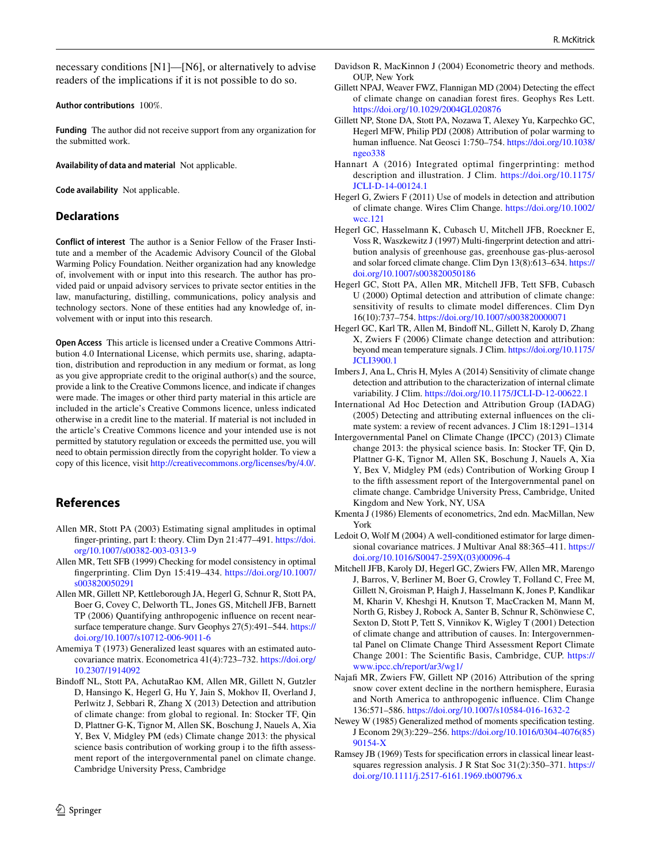necessary conditions [N1]—[N6], or alternatively to advise readers of the implications if it is not possible to do so.

**Author contributions** 100%.

**Funding** The author did not receive support from any organization for the submitted work.

**Availability of data and material** Not applicable.

**Code availability** Not applicable.

#### **Declarations**

**Conflict of interest** The author is a Senior Fellow of the Fraser Institute and a member of the Academic Advisory Council of the Global Warming Policy Foundation. Neither organization had any knowledge of, involvement with or input into this research. The author has provided paid or unpaid advisory services to private sector entities in the law, manufacturing, distilling, communications, policy analysis and technology sectors. None of these entities had any knowledge of, involvement with or input into this research.

**Open Access** This article is licensed under a Creative Commons Attribution 4.0 International License, which permits use, sharing, adaptation, distribution and reproduction in any medium or format, as long as you give appropriate credit to the original author(s) and the source, provide a link to the Creative Commons licence, and indicate if changes were made. The images or other third party material in this article are included in the article's Creative Commons licence, unless indicated otherwise in a credit line to the material. If material is not included in the article's Creative Commons licence and your intended use is not permitted by statutory regulation or exceeds the permitted use, you will need to obtain permission directly from the copyright holder. To view a copy of this licence, visit <http://creativecommons.org/licenses/by/4.0/>.

## **References**

- <span id="page-5-1"></span>Allen MR, Stott PA (2003) Estimating signal amplitudes in optimal fnger-printing, part I: theory. Clim Dyn 21:477–491. [https://doi.](https://doi.org/10.1007/s00382-003-0313-9) [org/10.1007/s00382-003-0313-9](https://doi.org/10.1007/s00382-003-0313-9)
- <span id="page-5-0"></span>Allen MR, Tett SFB (1999) Checking for model consistency in optimal fngerprinting. Clim Dyn 15:419–434. [https://doi.org/10.1007/](https://doi.org/10.1007/s003820050291) [s003820050291](https://doi.org/10.1007/s003820050291)
- <span id="page-5-16"></span>Allen MR, Gillett NP, Kettleborough JA, Hegerl G, Schnur R, Stott PA, Boer G, Covey C, Delworth TL, Jones GS, Mitchell JFB, Barnett TP (2006) Quantifying anthropogenic infuence on recent nearsurface temperature change. Surv Geophys 27(5):491–544. [https://](https://doi.org/10.1007/s10712-006-9011-6) [doi.org/10.1007/s10712-006-9011-6](https://doi.org/10.1007/s10712-006-9011-6)
- <span id="page-5-8"></span>Amemiya T (1973) Generalized least squares with an estimated autocovariance matrix. Econometrica 41(4):723–732. [https://doi.org/](https://doi.org/10.2307/1914092) [10.2307/1914092](https://doi.org/10.2307/1914092)
- <span id="page-5-13"></span>Bindoff NL, Stott PA, AchutaRao KM, Allen MR, Gillett N, Gutzler D, Hansingo K, Hegerl G, Hu Y, Jain S, Mokhov II, Overland J, Perlwitz J, Sebbari R, Zhang X (2013) Detection and attribution of climate change: from global to regional. In: Stocker TF, Qin D, Plattner G-K, Tignor M, Allen SK, Boschung J, Nauels A, Xia Y, Bex V, Midgley PM (eds) Climate change 2013: the physical science basis contribution of working group i to the ffth assessment report of the intergovernmental panel on climate change. Cambridge University Press, Cambridge
- <span id="page-5-4"></span>Davidson R, MacKinnon J (2004) Econometric theory and methods. OUP, New York
- <span id="page-5-19"></span>Gillett NPAJ, Weaver FWZ, Flannigan MD (2004) Detecting the efect of climate change on canadian forest fres. Geophys Res Lett. <https://doi.org/10.1029/2004GL020876>
- <span id="page-5-17"></span>Gillett NP, Stone DA, Stott PA, Nozawa T, Alexey Yu, Karpechko GC, Hegerl MFW, Philip PDJ (2008) Attribution of polar warming to human infuence. Nat Geosci 1:750–754. [https://doi.org/10.1038/](https://doi.org/10.1038/ngeo338) [ngeo338](https://doi.org/10.1038/ngeo338)
- <span id="page-5-5"></span>Hannart A (2016) Integrated optimal fingerprinting: method description and illustration. J Clim. [https://doi.org/10.1175/](https://doi.org/10.1175/JCLI-D-14-00124.1) [JCLI-D-14-00124.1](https://doi.org/10.1175/JCLI-D-14-00124.1)
- <span id="page-5-2"></span>Hegerl G, Zwiers F (2011) Use of models in detection and attribution of climate change. Wires Clim Change. [https://doi.org/10.1002/](https://doi.org/10.1002/wcc.121) [wcc.121](https://doi.org/10.1002/wcc.121)
- <span id="page-5-14"></span>Hegerl GC, Hasselmann K, Cubasch U, Mitchell JFB, Roeckner E, Voss R, Waszkewitz J (1997) Multi-fngerprint detection and attribution analysis of greenhouse gas, greenhouse gas-plus-aerosol and solar forced climate change. Clim Dyn 13(8):613–634. [https://](https://doi.org/10.1007/s003820050186) [doi.org/10.1007/s003820050186](https://doi.org/10.1007/s003820050186)
- <span id="page-5-15"></span>Hegerl GC, Stott PA, Allen MR, Mitchell JFB, Tett SFB, Cubasch U (2000) Optimal detection and attribution of climate change: sensitivity of results to climate model diferences. Clim Dyn 16(10):737–754. <https://doi.org/10.1007/s003820000071>
- <span id="page-5-20"></span>Hegerl GC, Karl TR, Allen M, Bindoff NL, Gillett N, Karoly D, Zhang X, Zwiers F (2006) Climate change detection and attribution: beyond mean temperature signals. J Clim. [https://doi.org/10.1175/](https://doi.org/10.1175/JCLI3900.1) **[JCLI3900.1](https://doi.org/10.1175/JCLI3900.1)**
- <span id="page-5-10"></span>Imbers J, Ana L, Chris H, Myles A (2014) Sensitivity of climate change detection and attribution to the characterization of internal climate variability. J Clim. <https://doi.org/10.1175/JCLI-D-12-00622.1>
- <span id="page-5-12"></span>International Ad Hoc Detection and Attribution Group (IADAG) (2005) Detecting and attributing external infuences on the climate system: a review of recent advances. J Clim 18:1291–1314
- <span id="page-5-21"></span>Intergovernmental Panel on Climate Change (IPCC) (2013) Climate change 2013: the physical science basis. In: Stocker TF, Qin D, Plattner G-K, Tignor M, Allen SK, Boschung J, Nauels A, Xia Y, Bex V, Midgley PM (eds) Contribution of Working Group I to the ffth assessment report of the Intergovernmental panel on climate change. Cambridge University Press, Cambridge, United Kingdom and New York, NY, USA
- <span id="page-5-6"></span>Kmenta J (1986) Elements of econometrics, 2nd edn. MacMillan, New York
- <span id="page-5-7"></span>Ledoit O, Wolf M (2004) A well-conditioned estimator for large dimensional covariance matrices. J Multivar Anal 88:365–411. [https://](https://doi.org/10.1016/S0047-259X(03)00096-4) [doi.org/10.1016/S0047-259X\(03\)00096-4](https://doi.org/10.1016/S0047-259X(03)00096-4)
- <span id="page-5-3"></span>Mitchell JFB, Karoly DJ, Hegerl GC, Zwiers FW, Allen MR, Marengo J, Barros, V, Berliner M, Boer G, Crowley T, Folland C, Free M, Gillett N, Groisman P, Haigh J, Hasselmann K, Jones P, Kandlikar M, Kharin V, Kheshgi H, Knutson T, MacCracken M, Mann M, North G, Risbey J, Robock A, Santer B, Schnur R, Schönwiese C, Sexton D, Stott P, Tett S, Vinnikov K, Wigley T (2001) Detection of climate change and attribution of causes. In: Intergovernmental Panel on Climate Change Third Assessment Report Climate Change 2001: The Scientifc Basis, Cambridge, CUP. [https://](https://www.ipcc.ch/report/ar3/wg1/) [www.ipcc.ch/report/ar3/wg1/](https://www.ipcc.ch/report/ar3/wg1/)
- <span id="page-5-18"></span>Najafi MR, Zwiers FW, Gillett NP (2016) Attribution of the spring snow cover extent decline in the northern hemisphere, Eurasia and North America to anthropogenic infuence. Clim Change 136:571–586. <https://doi.org/10.1007/s10584-016-1632-2>
- <span id="page-5-11"></span>Newey W (1985) Generalized method of moments specifcation testing. J Econom 29(3):229–256. [https://doi.org/10.1016/0304-4076\(85\)](https://doi.org/10.1016/0304-4076(85)90154-X) [90154-X](https://doi.org/10.1016/0304-4076(85)90154-X)
- <span id="page-5-9"></span>Ramsey JB (1969) Tests for specifcation errors in classical linear leastsquares regression analysis. J R Stat Soc 31(2):350–371. [https://](https://doi.org/10.1111/j.2517-6161.1969.tb00796.x) [doi.org/10.1111/j.2517-6161.1969.tb00796.x](https://doi.org/10.1111/j.2517-6161.1969.tb00796.x)